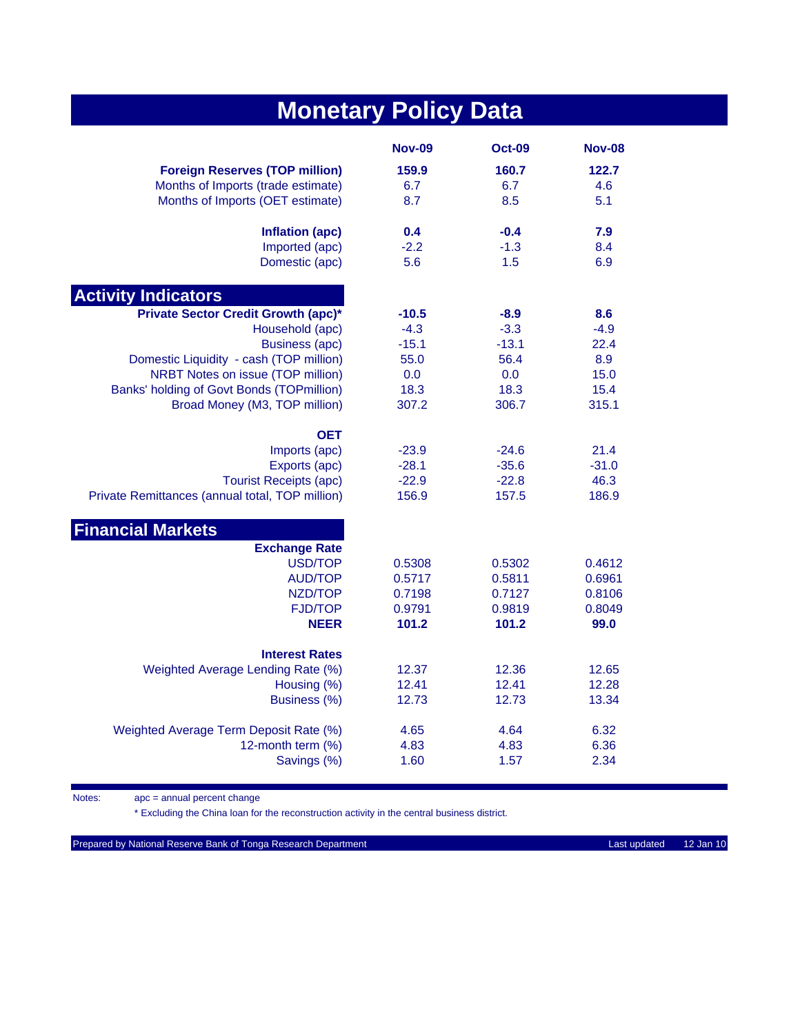| <b>Monetary Policy Data</b>                     |               |               |               |  |
|-------------------------------------------------|---------------|---------------|---------------|--|
|                                                 | <b>Nov-09</b> | <b>Oct-09</b> | <b>Nov-08</b> |  |
| <b>Foreign Reserves (TOP million)</b>           | 159.9         | 160.7         | 122.7         |  |
| Months of Imports (trade estimate)              | 6.7           | 6.7           | 4.6           |  |
| Months of Imports (OET estimate)                | 8.7           | 8.5           | 5.1           |  |
| Inflation (apc)                                 | 0.4           | $-0.4$        | 7.9           |  |
| Imported (apc)                                  | $-2.2$        | $-1.3$        | 8.4           |  |
| Domestic (apc)                                  | 5.6           | 1.5           | 6.9           |  |
| <b>Activity Indicators</b>                      |               |               |               |  |
| <b>Private Sector Credit Growth (apc)*</b>      | $-10.5$       | $-8.9$        | 8.6           |  |
| Household (apc)                                 | $-4.3$        | $-3.3$        | $-4.9$        |  |
| <b>Business (apc)</b>                           | $-15.1$       | $-13.1$       | 22.4          |  |
| Domestic Liquidity - cash (TOP million)         | 55.0          | 56.4          | 8.9           |  |
| NRBT Notes on issue (TOP million)               | 0.0           | 0.0           | 15.0          |  |
| Banks' holding of Govt Bonds (TOPmillion)       | 18.3          | 18.3          | 15.4          |  |
| Broad Money (M3, TOP million)                   | 307.2         | 306.7         | 315.1         |  |
| <b>OET</b>                                      |               |               |               |  |
| Imports (apc)                                   | $-23.9$       | $-24.6$       | 21.4          |  |
| Exports (apc)                                   | $-28.1$       | $-35.6$       | $-31.0$       |  |
| <b>Tourist Receipts (apc)</b>                   | $-22.9$       | $-22.8$       | 46.3          |  |
| Private Remittances (annual total, TOP million) | 156.9         | 157.5         | 186.9         |  |
| <b>Financial Markets</b>                        |               |               |               |  |
| <b>Exchange Rate</b>                            |               |               |               |  |
| USD/TOP                                         | 0.5308        | 0.5302        | 0.4612        |  |
| <b>AUD/TOP</b>                                  | 0.5717        | 0.5811        | 0.6961        |  |
| NZD/TOP                                         | 0.7198        | 0.7127        | 0.8106        |  |
| <b>FJD/TOP</b>                                  | 0.9791        | 0.9819        | 0.8049        |  |
| <b>NEER</b>                                     | 101.2         | 101.2         | 99.0          |  |
| <b>Interest Rates</b>                           |               |               |               |  |
| Weighted Average Lending Rate (%)               | 12.37         | 12.36         | 12.65         |  |
| Housing (%)                                     | 12.41         | 12.41         | 12.28         |  |
| Business (%)                                    | 12.73         | 12.73         | 13.34         |  |
| Weighted Average Term Deposit Rate (%)          | 4.65          | 4.64          | 6.32          |  |
| 12-month term (%)                               | 4.83          | 4.83          | 6.36          |  |
| Savings (%)                                     | 1.60          | 1.57          | 2.34          |  |

Notes: apc = annual percent change

\* Excluding the China loan for the reconstruction activity in the central business district.

Prepared by National Reserve Bank of Tonga Research Department Last updated 12 Jan 10